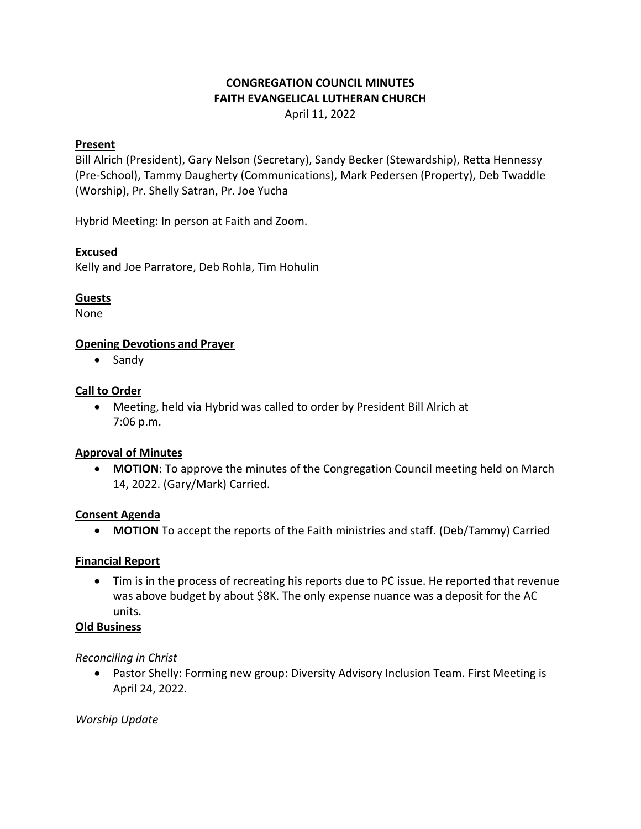# **CONGREGATION COUNCIL MINUTES FAITH EVANGELICAL LUTHERAN CHURCH**

April 11, 2022

#### **Present**

Bill Alrich (President), Gary Nelson (Secretary), Sandy Becker (Stewardship), Retta Hennessy (Pre-School), Tammy Daugherty (Communications), Mark Pedersen (Property), Deb Twaddle (Worship), Pr. Shelly Satran, Pr. Joe Yucha

Hybrid Meeting: In person at Faith and Zoom.

## **Excused**

Kelly and Joe Parratore, Deb Rohla, Tim Hohulin

## **Guests**

None

## **Opening Devotions and Prayer**

• Sandy

## **Call to Order**

• Meeting, held via Hybrid was called to order by President Bill Alrich at 7:06 p.m.

#### **Approval of Minutes**

• **MOTION**: To approve the minutes of the Congregation Council meeting held on March 14, 2022. (Gary/Mark) Carried.

#### **Consent Agenda**

• **MOTION** To accept the reports of the Faith ministries and staff. (Deb/Tammy) Carried

#### **Financial Report**

• Tim is in the process of recreating his reports due to PC issue. He reported that revenue was above budget by about \$8K. The only expense nuance was a deposit for the AC units.

## **Old Business**

*Reconciling in Christ*

• Pastor Shelly: Forming new group: Diversity Advisory Inclusion Team. First Meeting is April 24, 2022.

*Worship Update*